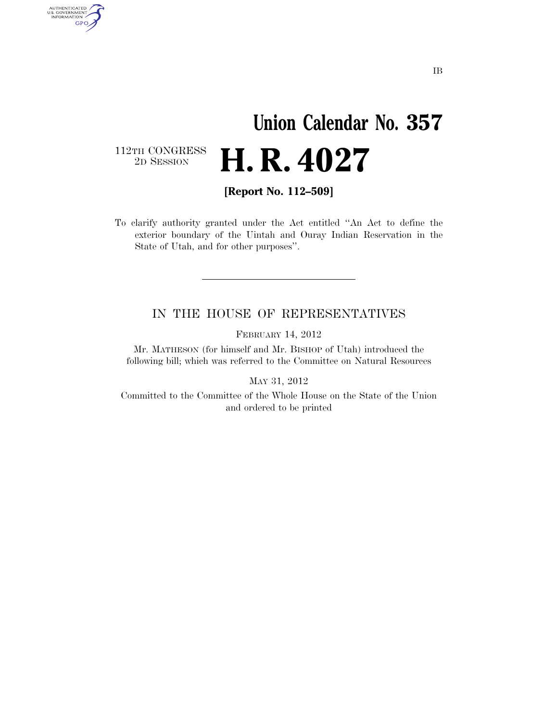## **Union Calendar No. 357**  2D SESSION **H. R. 4027**

112TH CONGRESS<br>2D SESSION

AUTHENTICATED<br>U.S. GOVERNMENT<br>INFORMATION GPO

**[Report No. 112–509]** 

To clarify authority granted under the Act entitled ''An Act to define the exterior boundary of the Uintah and Ouray Indian Reservation in the State of Utah, and for other purposes''.

## IN THE HOUSE OF REPRESENTATIVES

FEBRUARY 14, 2012

Mr. MATHESON (for himself and Mr. BISHOP of Utah) introduced the following bill; which was referred to the Committee on Natural Resources

MAY 31, 2012

Committed to the Committee of the Whole House on the State of the Union and ordered to be printed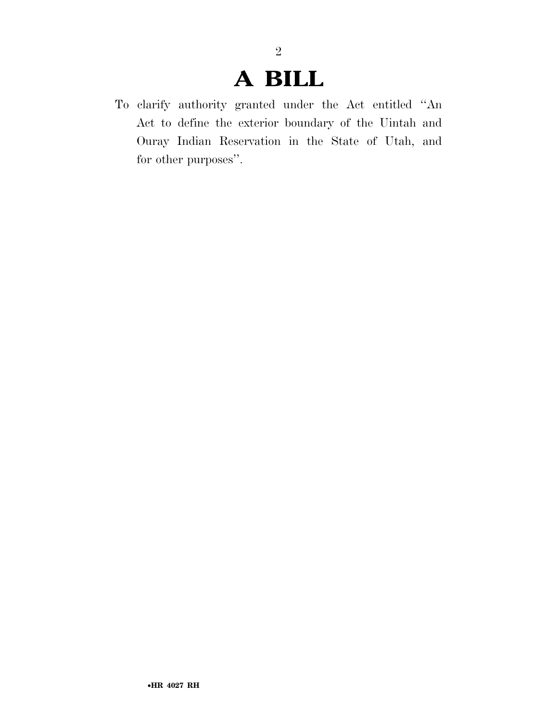## **A BILL**

2

To clarify authority granted under the Act entitled ''An Act to define the exterior boundary of the Uintah and Ouray Indian Reservation in the State of Utah, and for other purposes''.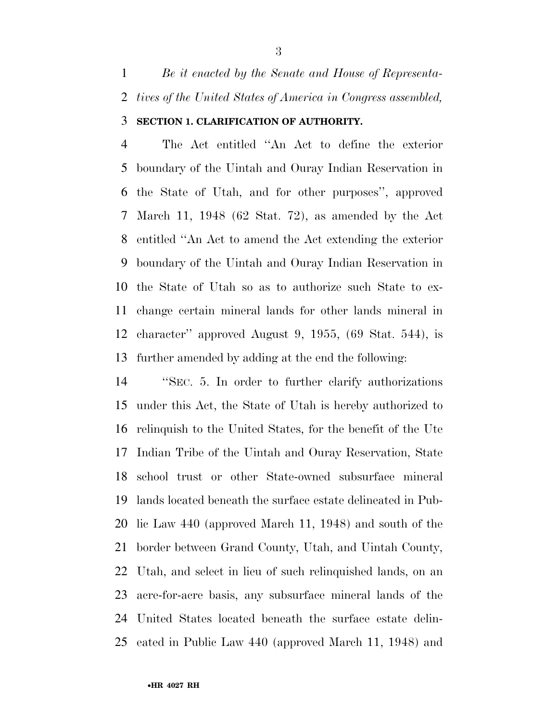*Be it enacted by the Senate and House of Representa- tives of the United States of America in Congress assembled,*  **SECTION 1. CLARIFICATION OF AUTHORITY.** 

 The Act entitled ''An Act to define the exterior boundary of the Uintah and Ouray Indian Reservation in the State of Utah, and for other purposes'', approved March 11, 1948 (62 Stat. 72), as amended by the Act entitled ''An Act to amend the Act extending the exterior boundary of the Uintah and Ouray Indian Reservation in the State of Utah so as to authorize such State to ex- change certain mineral lands for other lands mineral in character'' approved August 9, 1955, (69 Stat. 544), is further amended by adding at the end the following:

 ''SEC. 5. In order to further clarify authorizations under this Act, the State of Utah is hereby authorized to relinquish to the United States, for the benefit of the Ute Indian Tribe of the Uintah and Ouray Reservation, State school trust or other State-owned subsurface mineral lands located beneath the surface estate delineated in Pub- lic Law 440 (approved March 11, 1948) and south of the border between Grand County, Utah, and Uintah County, Utah, and select in lieu of such relinquished lands, on an acre-for-acre basis, any subsurface mineral lands of the United States located beneath the surface estate delin-eated in Public Law 440 (approved March 11, 1948) and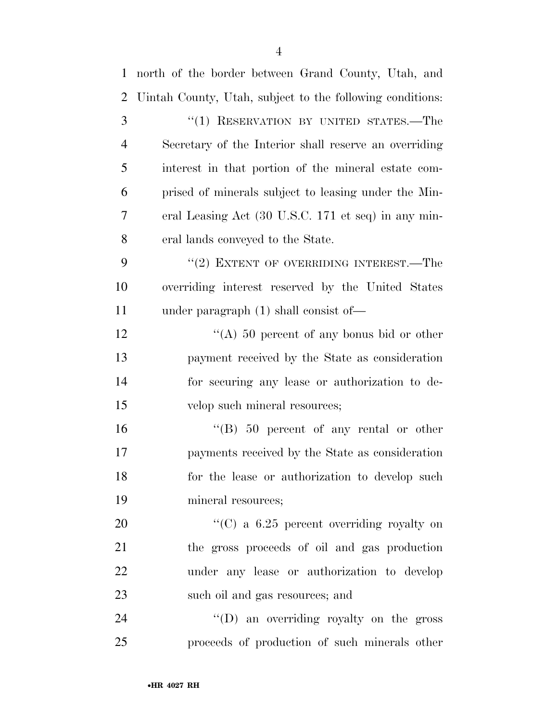| $\mathbf{1}$   | north of the border between Grand County, Utah, and       |
|----------------|-----------------------------------------------------------|
| $\overline{2}$ | Uintah County, Utah, subject to the following conditions: |
| 3              | "(1) RESERVATION BY UNITED STATES.—The                    |
| $\overline{4}$ | Secretary of the Interior shall reserve an overriding     |
| 5              | interest in that portion of the mineral estate com-       |
| 6              | prised of minerals subject to leasing under the Min-      |
| 7              | eral Leasing Act (30 U.S.C. 171 et seq) in any min-       |
| 8              | eral lands conveyed to the State.                         |
| 9              | "(2) EXTENT OF OVERRIDING INTEREST.—The                   |
| 10             | overriding interest reserved by the United States         |
| 11             | under paragraph $(1)$ shall consist of —                  |
| 12             | "(A) 50 percent of any bonus bid or other                 |
| 13             | payment received by the State as consideration            |
| 14             | for securing any lease or authorization to de-            |
| 15             | velop such mineral resources;                             |
| 16             | $\cdot$ (B) 50 percent of any rental or other             |
| 17             | payments received by the State as consideration           |
| 18             | for the lease or authorization to develop such            |
| 19             | mineral resources;                                        |
| 20             | "(C) a $6.25$ percent overriding royalty on               |
| 21             | the gross proceeds of oil and gas production              |
| 22             | under any lease or authorization to develop               |
| 23             | such oil and gas resources; and                           |
| 24             | "(D) an overriding royalty on the gross                   |
| 25             | proceeds of production of such minerals other             |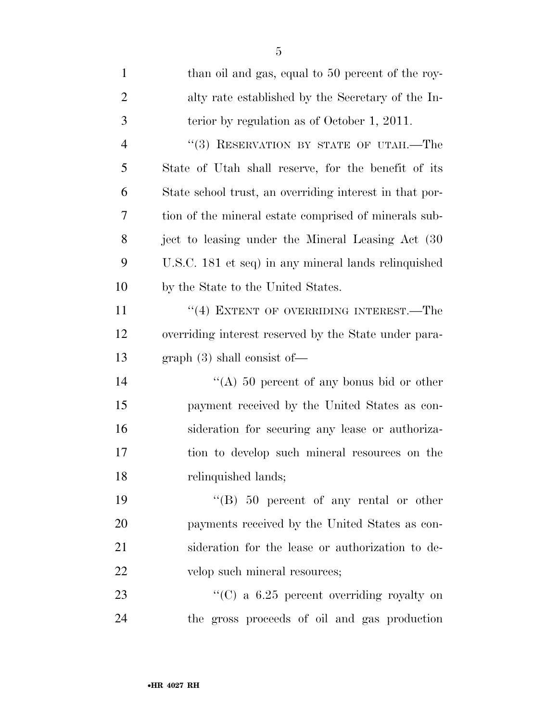| $\mathbf{1}$   | than oil and gas, equal to 50 percent of the roy-       |
|----------------|---------------------------------------------------------|
| $\overline{2}$ | alty rate established by the Secretary of the In-       |
| 3              | terior by regulation as of October 1, 2011.             |
| $\overline{4}$ | "(3) RESERVATION BY STATE OF UTAH.—The                  |
| 5              | State of Utah shall reserve, for the benefit of its     |
| 6              | State school trust, an overriding interest in that por- |
| 7              | tion of the mineral estate comprised of minerals sub-   |
| 8              | ject to leasing under the Mineral Leasing Act (30)      |
| 9              | U.S.C. 181 et seq) in any mineral lands relinquished    |
| 10             | by the State to the United States.                      |
| 11             | "(4) EXTENT OF OVERRIDING INTEREST.—The                 |
| 12             | overriding interest reserved by the State under para-   |
| 13             | graph(3) shall consist of—                              |
| 14             | "(A) 50 percent of any bonus bid or other               |
| 15             | payment received by the United States as con-           |
| 16             | sideration for securing any lease or authoriza-         |
| $17\,$         | tion to develop such mineral resources on the           |
| 18             | relinquished lands;                                     |
| 19             | "(B) $50$ percent of any rental or other                |
| 20             | payments received by the United States as con-          |
| 21             | sideration for the lease or authorization to de-        |
| 22             | velop such mineral resources;                           |
| 23             | "(C) a $6.25$ percent overriding royalty on             |
| 24             | the gross proceeds of oil and gas production            |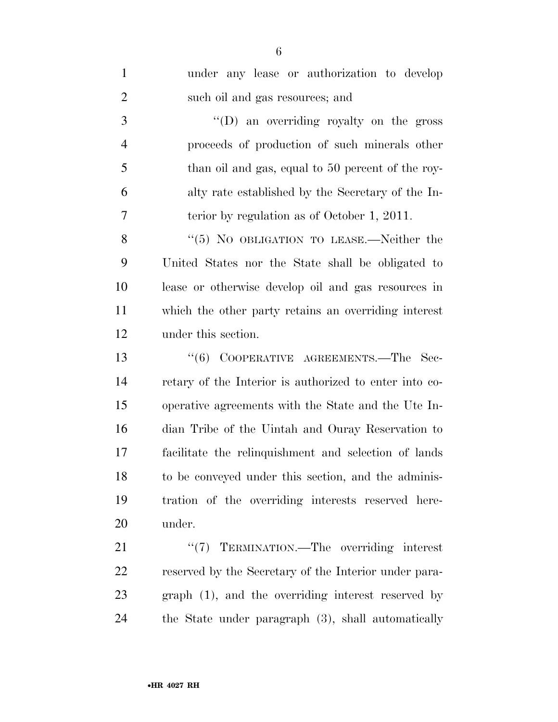| $\mathbf{1}$   | under any lease or authorization to develop            |
|----------------|--------------------------------------------------------|
| $\overline{2}$ | such oil and gas resources; and                        |
| 3              | $\lq\lq$ (D) an overriding royalty on the gross        |
| $\overline{4}$ | proceeds of production of such minerals other          |
| 5              | than oil and gas, equal to 50 percent of the roy-      |
| 6              | alty rate established by the Secretary of the In-      |
| 7              | terior by regulation as of October 1, 2011.            |
| 8              | " $(5)$ No OBLIGATION TO LEASE.—Neither the            |
| 9              | United States nor the State shall be obligated to      |
| 10             | lease or otherwise develop oil and gas resources in    |
| 11             | which the other party retains an overriding interest   |
| 12             | under this section.                                    |
| 13             | (6)<br>COOPERATIVE AGREEMENTS.—The Sec-                |
| 14             | retary of the Interior is authorized to enter into co- |
| 15             | operative agreements with the State and the Ute In-    |
| 16             | dian Tribe of the Uintah and Ouray Reservation to      |
| 17             | facilitate the relinquishment and selection of lands   |
| 18             | to be conveyed under this section, and the adminis-    |
| 19             | tration of the overriding interests reserved here-     |
| 20             | under.                                                 |
| 21             | "(7) TERMINATION.—The overriding interest              |
| <u>22</u>      | reserved by the Secretary of the Interior under para-  |
| 23             | graph (1), and the overriding interest reserved by     |
| 24             | the State under paragraph (3), shall automatically     |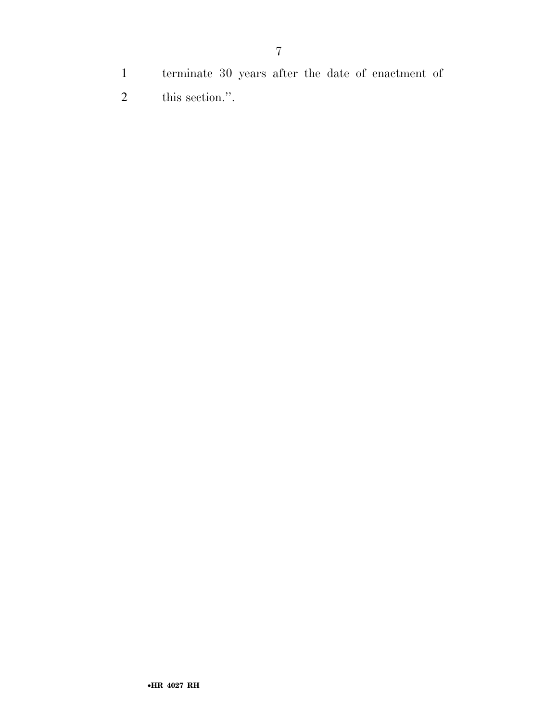- terminate 30 years after the date of enactment of
- this section.''.